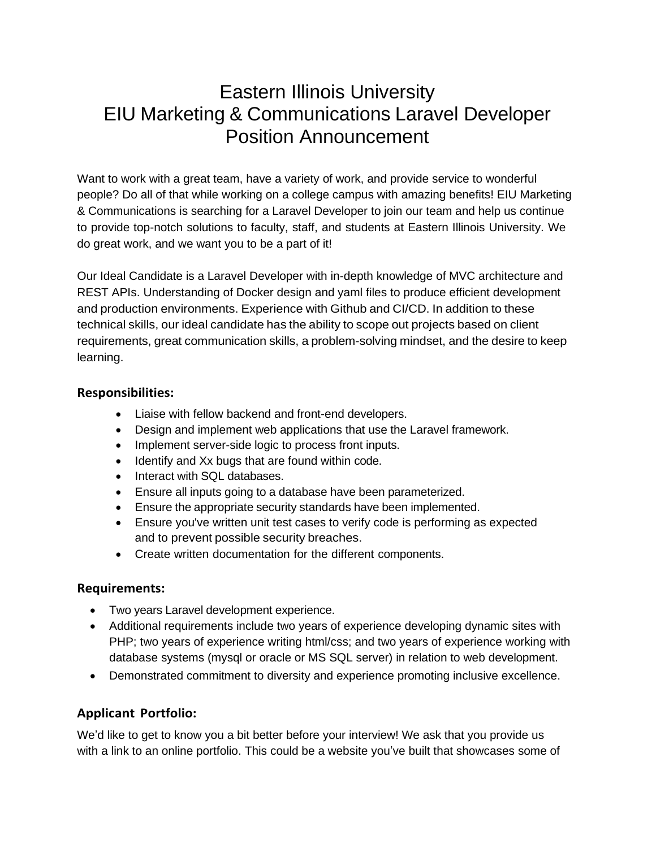# Eastern Illinois University EIU Marketing & Communications Laravel Developer Position Announcement

Want to work with a great team, have a variety of work, and provide service to wonderful people? Do all of that while working on a college campus with amazing benefits! EIU Marketing & Communications is searching for a Laravel Developer to join our team and help us continue to provide top-notch solutions to faculty, staff, and students at Eastern Illinois University. We do great work, and we want you to be a part of it!

Our Ideal Candidate is a Laravel Developer with in-depth knowledge of MVC architecture and REST APIs. Understanding of Docker design and yaml files to produce efficient development and production environments. Experience with Github and CI/CD. In addition to these technical skills, our ideal candidate has the ability to scope out projects based on client requirements, great communication skills, a problem-solving mindset, and the desire to keep learning.

#### **Responsibilities:**

- Liaise with fellow backend and front-end developers.
- Design and implement web applications that use the Laravel framework.
- Implement server-side logic to process front inputs.
- Identify and Xx bugs that are found within code.
- Interact with SQL databases.
- Ensure all inputs going to a database have been parameterized.
- Ensure the appropriate security standards have been implemented.
- Ensure you've written unit test cases to verify code is performing as expected and to prevent possible security breaches.
- Create written documentation for the different components.

#### **Requirements:**

- Two years Laravel development experience.
- Additional requirements include two years of experience developing dynamic sites with PHP; two years of experience writing html/css; and two years of experience working with database systems (mysql or oracle or MS SQL server) in relation to web development.
- Demonstrated commitment to diversity and experience promoting inclusive excellence.

### **Applicant Portfolio:**

We'd like to get to know you a bit better before your interview! We ask that you provide us with a link to an online portfolio. This could be a website you've built that showcases some of